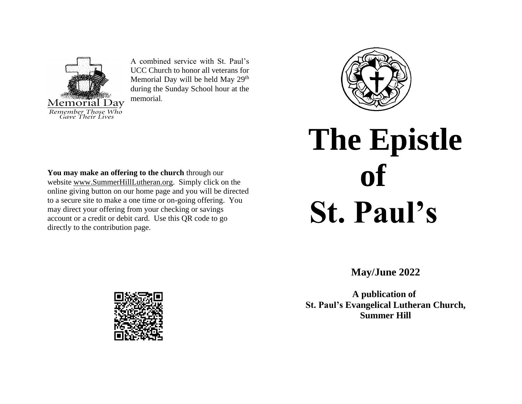

A combined service with St. Paul's UCC Church to honor all veterans for Memorial Day will be held May 29<sup>th</sup> during the Sunday School hour at the memorial.



# **The Epistle of St. Paul's**

**May/June 2022**

 **A publication of St. Paul's Evangelical Lutheran Church, Summer Hill**

**You may make an offering to the church** through our website [www.SummerHillLutheran.org.](http://www.summerhilllutheran.org/) Simply click on the online giving button on our home page and you will be directed to a secure site to make a one time or on-going offering. You may direct your offering from your checking or savings account or a credit or debit card. Use this QR code to go directly to the contribution page.

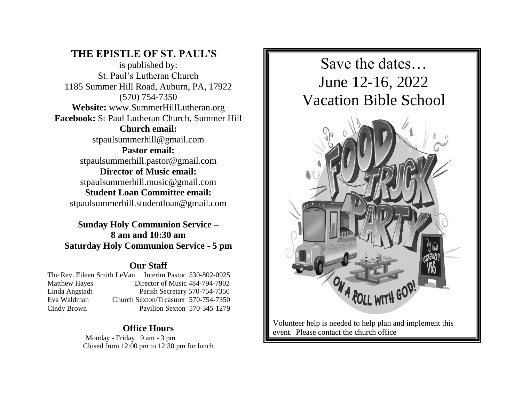## **THE EPISTLE OF ST. PAUL'S**

is published by: St. Paul's Lutheran Church 1185 Summer Hill Road, Auburn, PA, 17922 (570) 754-7350 **Website:** [www.SummerHillLutheran.org](http://www.summerhilllutheran.org/) **Facebook:** St Paul Lutheran Church, Summer Hill **Church email:**  [stpaulsummerhill@gmail.com](mailto:stpaulsummerhill@gmail.com) **Pastor email:**  [stpaulsummerhill.pastor@gmail.com](mailto:stpaulsummerhill.pastor@gmail.com) **Director of Music email:**  [stpaulsummerhill.music@gmail.com](mailto:stpaulsummerhill.music@gmail.com) **Student Loan Committee email:** stpaulsummerhill.studentloan@gmail.com

**Sunday Holy Communion Service – 8 am and 10:30 am Saturday Holy Communion Service - 5 pm** 

#### **Our Staff**

| The Rev. Eileen Smith LeVan Interim Pastor 530-802-0925 |                                      |  |
|---------------------------------------------------------|--------------------------------------|--|
| <b>Matthew Hayes</b>                                    | Director of Music 484-794-7902       |  |
| Linda Angstadt                                          | Parish Secretary 570-754-7350        |  |
| Eva Waldman                                             | Church Sexton/Treasurer 570-754-7350 |  |
| Cindy Brown                                             | Pavilion Sexton 570-345-1279         |  |
|                                                         |                                      |  |

## **Office Hours**

Monday - Friday 9 am - 3 pm Closed from 12:00 pm to 12:30 pm for lunch



Volunteer help is needed to help plan and implement this event. Please contact the church office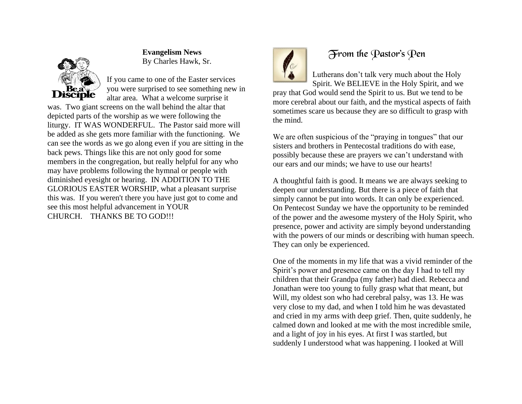

## **Evangelism News** By Charles Hawk, Sr.

If you came to one of the Easter services you were surprised to see something new in altar area. What a welcome surprise it

was. Two giant screens on the wall behind the altar that depicted parts of the worship as we were following the liturgy. IT WAS WONDERFUL. The Pastor said more will be added as she gets more familiar with the functioning. We can see the words as we go along even if you are sitting in the back pews. Things like this are not only good for some members in the congregation, but really helpful for any who may have problems following the hymnal or people with diminished eyesight or hearing. IN ADDITION TO THE GLORIOUS EASTER WORSHIP, what a pleasant surprise this was. If you weren't there you have just got to come and see this most helpful advancement in YOUR CHURCH. THANKS BE TO GOD!!!



# From the Pastor's Pen

Lutherans don't talk very much about the Holy Spirit. We BELIEVE in the Holy Spirit, and we

pray that God would send the Spirit to us. But we tend to be more cerebral about our faith, and the mystical aspects of faith sometimes scare us because they are so difficult to grasp with the mind.

We are often suspicious of the "praying in tongues" that our sisters and brothers in Pentecostal traditions do with ease, possibly because these are prayers we can't understand with our ears and our minds; we have to use our hearts!

A thoughtful faith is good. It means we are always seeking to deepen our understanding. But there is a piece of faith that simply cannot be put into words. It can only be experienced. On Pentecost Sunday we have the opportunity to be reminded of the power and the awesome mystery of the Holy Spirit, who presence, power and activity are simply beyond understanding with the powers of our minds or describing with human speech. They can only be experienced.

One of the moments in my life that was a vivid reminder of the Spirit's power and presence came on the day I had to tell my children that their Grandpa (my father) had died. Rebecca and Jonathan were too young to fully grasp what that meant, but Will, my oldest son who had cerebral palsy, was 13. He was very close to my dad, and when I told him he was devastated and cried in my arms with deep grief. Then, quite suddenly, he calmed down and looked at me with the most incredible smile, and a light of joy in his eyes. At first I was startled, but suddenly I understood what was happening. I looked at Will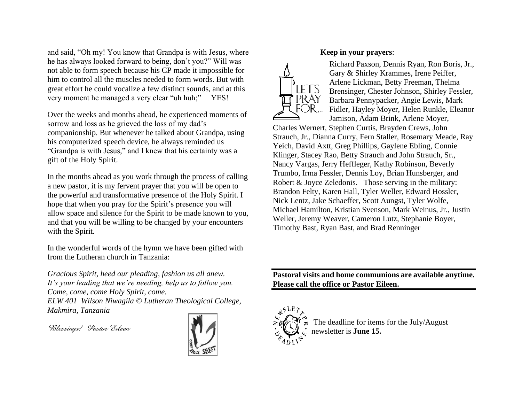and said, "Oh my! You know that Grandpa is with Jesus, where he has always looked forward to being, don't you?" Will was not able to form speech because his CP made it impossible for him to control all the muscles needed to form words. But with great effort he could vocalize a few distinct sounds, and at this very moment he managed a very clear "uh huh;" YES!

Over the weeks and months ahead, he experienced moments of sorrow and loss as he grieved the loss of my dad's companionship. But whenever he talked about Grandpa, using his computerized speech device, he always reminded us "Grandpa is with Jesus," and I knew that his certainty was a gift of the Holy Spirit.

In the months ahead as you work through the process of calling a new pastor, it is my fervent prayer that you will be open to the powerful and transformative presence of the Holy Spirit. I hope that when you pray for the Spirit's presence you will allow space and silence for the Spirit to be made known to you, and that you will be willing to be changed by your encounters with the Spirit.

In the wonderful words of the hymn we have been gifted with from the Lutheran church in Tanzania:

*Gracious Spirit, heed our pleading, fashion us all anew. It's your leading that we're needing, help us to follow you. Come, come, come Holy Spirit, come. ELW 401 Wilson Niwagila © Lutheran Theological College, Makmira, Tanzania*

*Blessings! Pastor Eileen* 



#### **Keep in your prayers**:



Richard Paxson, Dennis Ryan, Ron Boris, Jr., Gary & Shirley Krammes, Irene Peiffer, Arlene Lickman, Betty Freeman, Thelma Brensinger, Chester Johnson, Shirley Fessler, Barbara Pennypacker, Angie Lewis, Mark Fidler, Hayley Moyer, Helen Runkle, Eleanor Jamison, Adam Brink, Arlene Moyer,

Charles Wernert, Stephen Curtis, Brayden Crews, John Strauch, Jr., Dianna Curry, Fern Staller, Rosemary Meade, Ray Yeich, David Axtt, Greg Phillips, Gaylene Ebling, Connie Klinger, Stacey Rao, Betty Strauch and John Strauch, Sr., Nancy Vargas, Jerry Heffleger, Kathy Robinson, Beverly Trumbo, Irma Fessler, Dennis Loy, Brian Hunsberger, and Robert & Joyce Zeledonis. Those serving in the military: Brandon Felty, Karen Hall, Tyler Weller, Edward Hossler, Nick Lentz, Jake Schaeffer, Scott Aungst, Tyler Wolfe, Michael Hamilton, Kristian Svenson, Mark Weinus, Jr., Justin Weller, Jeremy Weaver, Cameron Lutz, Stephanie Boyer, Timothy Bast, Ryan Bast, and Brad Renninger

**Pastoral visits and home communions are available anytime. Please call the office or Pastor Eileen.**



The deadline for items for the July/August newsletter is **June 15.**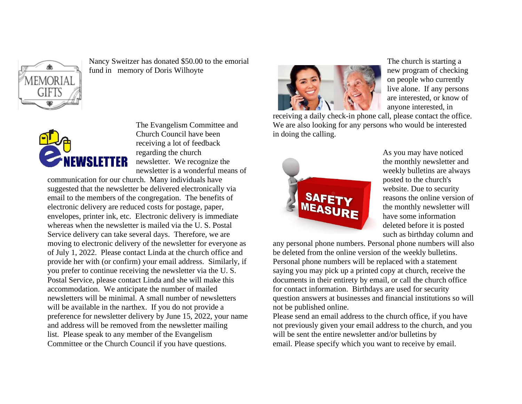

Nancy Sweitzer has donated \$50.00 to the emorial fund in memory of Doris Wilhoyte



The Evangelism Committee and Church Council have been receiving a lot of feedback regarding the church newsletter. We recognize the newsletter is a wonderful means of

communication for our church. Many individuals have suggested that the newsletter be delivered electronically via email to the members of the congregation. The benefits of electronic delivery are reduced costs for postage, paper, envelopes, printer ink, etc. Electronic delivery is immediate whereas when the newsletter is mailed via the U. S. Postal Service delivery can take several days. Therefore, we are moving to electronic delivery of the newsletter for everyone as of July 1, 2022. Please contact Linda at the church office and provide her with (or confirm) your email address. Similarly, if you prefer to continue receiving the newsletter via the U. S. Postal Service, please contact Linda and she will make this accommodation. We anticipate the number of mailed newsletters will be minimal. A small number of newsletters will be available in the narthex. If you do not provide a preference for newsletter delivery by June 15, 2022, your name and address will be removed from the newsletter mailing list. Please speak to any member of the Evangelism Committee or the Church Council if you have questions.



The church is starting a new program of checking on people who currently live alone. If any persons are interested, or know of anyone interested, in

receiving a daily check-in phone call, please contact the office. We are also looking for any persons who would be interested in doing the calling.



As you may have noticed the monthly newsletter and weekly bulletins are always posted to the church's website. Due to security reasons the online version of the monthly newsletter will have some information deleted before it is posted such as birthday column and

any personal phone numbers. Personal phone numbers will also be deleted from the online version of the weekly bulletins. Personal phone numbers will be replaced with a statement saying you may pick up a printed copy at church, receive the documents in their entirety by email, or call the church office for contact information. Birthdays are used for security question answers at businesses and financial institutions so will not be published online.

Please send an email address to the church office, if you have not previously given your email address to the church, and you will be sent the entire newsletter and/or bulletins by email. Please specify which you want to receive by email.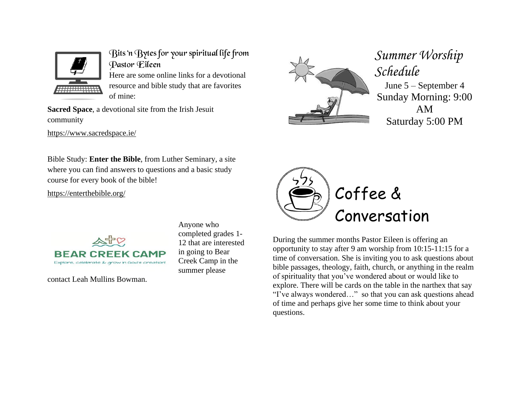

Bits 'n Bytes for your spiritual life from Pastor Eileen

Here are some online links for a devotional resource and bible study that are favorites of mine:

**Sacred Space**, a devotional site from the Irish Jesuit community

<https://www.sacredspace.ie/>



*Summer Worship Schedule* June 5 – September 4 Sunday Morning: 9:00 AM Saturday 5:00 PM

Bible Study: **Enter the Bible**, from Luther Seminary, a site where you can find answers to questions and a basic study course for every book of the bible!

<https://enterthebible.org/>



contact Leah Mullins Bowman.

Anyone who completed grades 1- 12 that are interested in going to Bear Creek Camp in the summer please



During the summer months Pastor Eileen is offering an opportunity to stay after 9 am worship from 10:15-11:15 for a time of conversation. She is inviting you to ask questions about bible passages, theology, faith, church, or anything in the realm of spirituality that you've wondered about or would like to explore. There will be cards on the table in the narthex that say "I've always wondered…" so that you can ask questions ahead of time and perhaps give her some time to think about your questions.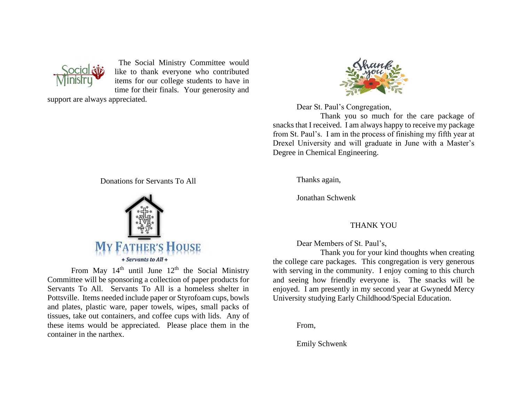

The Social Ministry Committee would like to thank everyone who contributed items for our college students to have in time for their finals. Your generosity and

support are always appreciated.

Donations for Servants To All



From May  $14<sup>th</sup>$  until June  $12<sup>th</sup>$  the Social Ministry Committee will be sponsoring a collection of paper products for Servants To All. Servants To All is a homeless shelter in Pottsville. Items needed include paper or Styrofoam cups, bowls and plates, plastic ware, paper towels, wipes, small packs of tissues, take out containers, and coffee cups with lids. Any of these items would be appreciated. Please place them in the container in the narthex.



Dear St. Paul's Congregation,

Thank you so much for the care package of snacks that I received. I am always happy to receive my package from St. Paul's. I am in the process of finishing my fifth year at Drexel University and will graduate in June with a Master's Degree in Chemical Engineering.

Thanks again,

Jonathan Schwenk

#### THANK YOU

Dear Members of St. Paul's,

Thank you for your kind thoughts when creating the college care packages. This congregation is very generous with serving in the community. I enjoy coming to this church and seeing how friendly everyone is. The snacks will be enjoyed. I am presently in my second year at Gwynedd Mercy University studying Early Childhood/Special Education.

From,

Emily Schwenk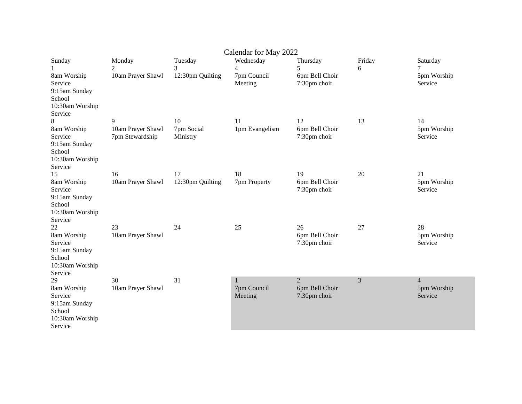| Calendar for May 2022                                                                 |                                      |                        |                             |                                                  |             |                                          |
|---------------------------------------------------------------------------------------|--------------------------------------|------------------------|-----------------------------|--------------------------------------------------|-------------|------------------------------------------|
| Sunday                                                                                | Monday<br>2                          | Tuesday<br>3           | Wednesday<br>$\overline{4}$ | Thursday<br>5                                    | Friday<br>6 | Saturday                                 |
| 8am Worship<br>Service<br>9:15am Sunday<br>School<br>10:30am Worship<br>Service       | 10am Prayer Shawl                    | 12:30pm Quilting       | 7pm Council<br>Meeting      | 6pm Bell Choir<br>7:30pm choir                   |             | 5pm Worship<br>Service                   |
| 8                                                                                     | 9                                    | 10                     | 11                          | 12                                               | 13          | 14                                       |
| 8am Worship<br>Service<br>9:15am Sunday<br>School<br>10:30am Worship<br>Service       | 10am Prayer Shawl<br>7pm Stewardship | 7pm Social<br>Ministry | 1pm Evangelism              | 6pm Bell Choir<br>7:30pm choir                   |             | 5pm Worship<br>Service                   |
| 15<br>8am Worship<br>Service<br>9:15am Sunday<br>School<br>10:30am Worship<br>Service | 16<br>10am Prayer Shawl              | 17<br>12:30pm Quilting | 18<br>7pm Property          | 19<br>6pm Bell Choir<br>7:30pm choir             | 20          | 21<br>5pm Worship<br>Service             |
| 22<br>8am Worship<br>Service<br>9:15am Sunday<br>School<br>10:30am Worship<br>Service | 23<br>10am Prayer Shawl              | 24                     | 25                          | 26<br>6pm Bell Choir<br>7:30pm choir             | 27          | 28<br>5pm Worship<br>Service             |
| 29<br>8am Worship<br>Service<br>9:15am Sunday<br>School<br>10:30am Worship<br>Service | 30<br>10am Prayer Shawl              | 31                     | 1<br>7pm Council<br>Meeting | $\mathfrak{D}$<br>6pm Bell Choir<br>7:30pm choir | 3           | $\overline{4}$<br>5pm Worship<br>Service |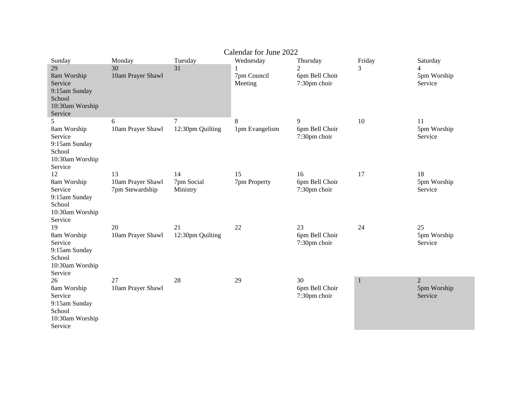| Calendar for June 2022                                                                          |                                            |                              |                                     |                                                                           |             |                                          |
|-------------------------------------------------------------------------------------------------|--------------------------------------------|------------------------------|-------------------------------------|---------------------------------------------------------------------------|-------------|------------------------------------------|
| Sunday<br>29<br>8am Worship<br>Service<br>9:15am Sunday<br>School<br>10:30am Worship<br>Service | Monday<br>30<br>10am Prayer Shawl          | Tuesday<br>31                | Wednesday<br>7pm Council<br>Meeting | Thursday<br>$\mathcal{D}_{\mathcal{L}}$<br>6pm Bell Choir<br>7:30pm choir | Friday<br>3 | Saturday<br>4<br>5pm Worship<br>Service  |
| 5<br>8am Worship<br>Service<br>9:15am Sunday<br>School<br>10:30am Worship<br>Service            | 6<br>10am Prayer Shawl                     | 7<br>12:30pm Quilting        | 8<br>1pm Evangelism                 | 9<br>6pm Bell Choir<br>7:30pm choir                                       | 10          | 11<br>5pm Worship<br>Service             |
| 12<br>8am Worship<br>Service<br>9:15am Sunday<br>School<br>10:30am Worship<br>Service           | 13<br>10am Prayer Shawl<br>7pm Stewardship | 14<br>7pm Social<br>Ministry | 15<br>7pm Property                  | 16<br>6pm Bell Choir<br>7:30pm choir                                      | 17          | 18<br>5pm Worship<br>Service             |
| 19<br>8am Worship<br>Service<br>9:15am Sunday<br>School<br>10:30am Worship<br>Service           | 20<br>10am Prayer Shawl                    | 21<br>12:30pm Quilting       | 22                                  | 23<br>6pm Bell Choir<br>7:30pm choir                                      | 24          | 25<br>5pm Worship<br>Service             |
| 26<br>8am Worship<br>Service<br>9:15am Sunday<br>School<br>10:30am Worship<br>Service           | 27<br>10am Prayer Shawl                    | 28                           | 29                                  | 30<br>6pm Bell Choir<br>7:30pm choir                                      | $\mathbf 1$ | $\overline{2}$<br>5pm Worship<br>Service |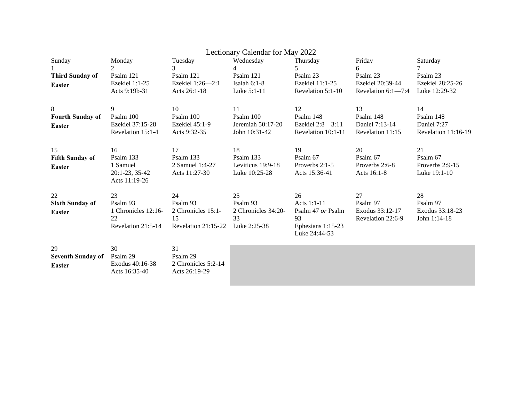| Lectionary Calendar for May 2022 |                               |                             |                                |                               |                             |                          |
|----------------------------------|-------------------------------|-----------------------------|--------------------------------|-------------------------------|-----------------------------|--------------------------|
| Sunday                           | Monday                        | Tuesday                     | Wednesday                      | Thursday                      | Friday                      | Saturday                 |
|                                  | $\mathcal{L}$                 | 3                           | 4                              | 5                             | 6                           |                          |
| <b>Third Sunday of</b>           | Psalm 121                     | Psalm 121                   | Psalm 121                      | Psalm 23                      | Psalm 23                    | Psalm 23                 |
| <b>Easter</b>                    | Ezekiel 1:1-25                | Ezekiel 1:26-2:1            | Isaiah 6:1-8                   | Ezekiel 11:1-25               | Ezekiel 20:39-44            | Ezekiel 28:25-26         |
|                                  | Acts 9:19b-31                 | Acts 26:1-18                | Luke 5:1-11                    | Revelation 5:1-10             | Revelation $6:1-7:4$        | Luke 12:29-32            |
|                                  |                               |                             |                                |                               |                             |                          |
| 8                                | 9                             | 10                          | 11                             | 12                            | 13                          | 14                       |
| <b>Fourth Sunday of</b>          | Psalm 100<br>Ezekiel 37:15-28 | Psalm 100<br>Ezekiel 45:1-9 | Psalm 100<br>Jeremiah 50:17-20 | Psalm 148<br>Ezekiel 2:8-3:11 | Psalm 148<br>Daniel 7:13-14 | Psalm 148<br>Daniel 7:27 |
| <b>Easter</b>                    | Revelation 15:1-4             | Acts 9:32-35                | John 10:31-42                  | Revelation 10:1-11            | Revelation 11:15            | Revelation 11:16-19      |
|                                  |                               |                             |                                |                               |                             |                          |
| 15                               | 16                            | 17                          | 18                             | 19                            | 20                          | 21                       |
| <b>Fifth Sunday of</b>           | Psalm 133                     | Psalm 133                   | Psalm 133                      | Psalm 67                      | Psalm 67                    | Psalm 67                 |
| <b>Easter</b>                    | 1 Samuel                      | 2 Samuel 1:4-27             | Leviticus 19:9-18              | Proverbs 2:1-5                | Proverbs 2:6-8              | Proverbs 2:9-15          |
|                                  | 20:1-23, 35-42                | Acts 11:27-30               | Luke 10:25-28                  | Acts 15:36-41                 | Acts 16:1-8                 | Luke 19:1-10             |
|                                  | Acts 11:19-26                 |                             |                                |                               |                             |                          |
| 22                               | 23                            | 24                          | 25                             | 26                            | 27                          | 28                       |
| <b>Sixth Sunday of</b>           | Psalm 93                      | Psalm 93                    | Psalm 93                       | Acts 1:1-11                   | Psalm 97                    | Psalm 97                 |
| <b>Easter</b>                    | 1 Chronicles 12:16-           | 2 Chronicles 15:1-          | 2 Chronicles 34:20-            | Psalm 47 or Psalm             | Exodus 33:12-17             | Exodus 33:18-23          |
|                                  | 22                            | 15                          | 33                             | 93                            | Revelation 22:6-9           | John 1:14-18             |
|                                  | Revelation 21:5-14            | Revelation 21:15-22         | Luke 2:25-38                   | Ephesians 1:15-23             |                             |                          |
|                                  |                               |                             |                                | Luke 24:44-53                 |                             |                          |
|                                  |                               |                             |                                |                               |                             |                          |
| 29                               | 30                            | 31                          |                                |                               |                             |                          |
| <b>Seventh Sunday of</b>         | Psalm 29                      | Psalm 29                    |                                |                               |                             |                          |
| <b>Easter</b>                    | Exodus 40:16-38               | 2 Chronicles 5:2-14         |                                |                               |                             |                          |
|                                  | Acts 16:35-40                 | Acts 26:19-29               |                                |                               |                             |                          |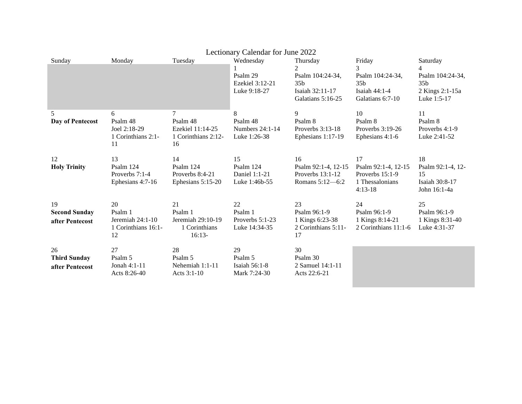| Lectionary Calendar for June 2022             |                                                                |                                                                 |                                                          |                                                                                              |                                                                                           |                                                                                                     |
|-----------------------------------------------|----------------------------------------------------------------|-----------------------------------------------------------------|----------------------------------------------------------|----------------------------------------------------------------------------------------------|-------------------------------------------------------------------------------------------|-----------------------------------------------------------------------------------------------------|
| Sunday                                        | Monday                                                         | Tuesday                                                         | Wednesday<br>Psalm 29<br>Ezekiel 3:12-21<br>Luke 9:18-27 | Thursday<br>2<br>Psalm 104:24-34,<br>35 <sub>b</sub><br>Isaiah 32:11-17<br>Galatians 5:16-25 | Friday<br>3<br>Psalm 104:24-34,<br>35 <sub>b</sub><br>Isaiah $44:1-4$<br>Galatians 6:7-10 | Saturday<br>$\overline{4}$<br>Psalm 104:24-34,<br>35 <sub>b</sub><br>2 Kings 2:1-15a<br>Luke 1:5-17 |
| 5<br>Day of Pentecost                         | 6<br>Psalm 48<br>Joel 2:18-29<br>1 Corinthians 2:1-<br>11      | Psalm 48<br>Ezekiel 11:14-25<br>1 Corinthians 2:12-<br>16       | 8<br>Psalm 48<br>Numbers 24:1-14<br>Luke 1:26-38         | 9<br>Psalm 8<br>Proverbs $3:13-18$<br>Ephesians 1:17-19                                      | 10<br>Psalm 8<br>Proverbs 3:19-26<br>Ephesians 4:1-6                                      | 11<br>Psalm 8<br>Proverbs 4:1-9<br>Luke 2:41-52                                                     |
| 12<br><b>Holy Trinity</b>                     | 13<br>Psalm 124<br>Proverbs 7:1-4<br>Ephesians 4:7-16          | 14<br>Psalm 124<br>Proverbs 8:4-21<br>Ephesians 5:15-20         | 15<br>Psalm 124<br>Daniel 1:1-21<br>Luke 1:46b-55        | 16<br>Psalm 92:1-4, 12-15<br>Proverbs $13:1-12$<br>Romans 5:12-6:2                           | 17<br>Psalm 92:1-4, 12-15<br>Proverbs $15:1-9$<br>1 Thessalonians<br>$4:13-18$            | 18<br>Psalm 92:1-4, 12-<br>15<br>Isaiah 30:8-17<br>John 16:1-4a                                     |
| 19<br><b>Second Sunday</b><br>after Pentecost | 20<br>Psalm 1<br>Jeremiah 24:1-10<br>1 Corinthians 16:1-<br>12 | 21<br>Psalm 1<br>Jeremiah 29:10-19<br>1 Corinthians<br>$16:13-$ | 22<br>Psalm 1<br>Proverbs 5:1-23<br>Luke 14:34-35        | 23<br>Psalm 96:1-9<br>1 Kings 6:23-38<br>2 Corinthians 5:11-<br>17                           | 24<br>Psalm 96:1-9<br>1 Kings 8:14-21<br>2 Corinthians 11:1-6                             | 25<br>Psalm 96:1-9<br>1 Kings 8:31-40<br>Luke 4:31-37                                               |
| 26<br><b>Third Sunday</b><br>after Pentecost  | 27<br>Psalm 5<br>Jonah 4:1-11<br>Acts 8:26-40                  | 28<br>Psalm 5<br>Nehemiah 1:1-11<br>Acts 3:1-10                 | 29<br>Psalm 5<br>Isaiah $56:1-8$<br>Mark 7:24-30         | 30<br>Psalm 30<br>2 Samuel 14:1-11<br>Acts 22:6-21                                           |                                                                                           |                                                                                                     |